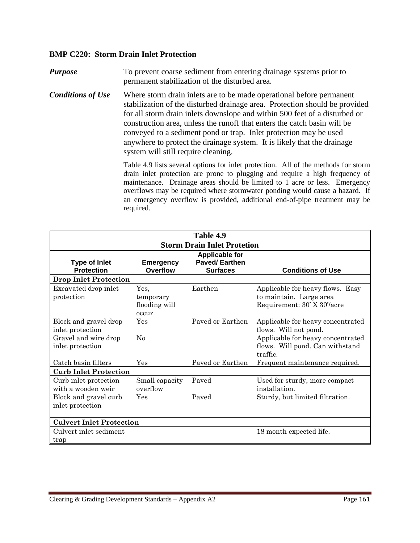## **BMP C220: Storm Drain Inlet Protection**

*Purpose* To prevent coarse sediment from entering drainage systems prior to permanent stabilization of the disturbed area.

*Conditions of Use* Where storm drain inlets are to be made operational before permanent stabilization of the disturbed drainage area. Protection should be provided for all storm drain inlets downslope and within 500 feet of a disturbed or construction area, unless the runoff that enters the catch basin will be conveyed to a sediment pond or trap. Inlet protection may be used anywhere to protect the drainage system. It is likely that the drainage system will still require cleaning.

> Table 4.9 lists several options for inlet protection. All of the methods for storm drain inlet protection are prone to plugging and require a high frequency of maintenance. Drainage areas should be limited to 1 acre or less. Emergency overflows may be required where stormwater ponding would cause a hazard. If an emergency overflow is provided, additional end-of-pipe treatment may be required.

| Table 4.9                                                                             |                                             |                                                                  |                                                                                                                                    |  |
|---------------------------------------------------------------------------------------|---------------------------------------------|------------------------------------------------------------------|------------------------------------------------------------------------------------------------------------------------------------|--|
| <b>Storm Drain Inlet Protetion</b>                                                    |                                             |                                                                  |                                                                                                                                    |  |
| <b>Type of Inlet</b><br><b>Protection</b>                                             | <b>Emergency</b><br>Overflow                | <b>Applicable for</b><br><b>Paved/Earthen</b><br><b>Surfaces</b> | <b>Conditions of Use</b>                                                                                                           |  |
| <b>Drop Inlet Protection</b>                                                          |                                             |                                                                  |                                                                                                                                    |  |
| Excavated drop inlet<br>protection                                                    | Yes.<br>temporary<br>flooding will<br>occur | Earthen                                                          | Applicable for heavy flows. Easy<br>to maintain. Large area<br>Requirement: 30' X 30'/acre                                         |  |
| Block and gravel drop<br>inlet protection<br>Gravel and wire drop<br>inlet protection | Yes<br>$\rm No$                             | Payed or Earthen                                                 | Applicable for heavy concentrated<br>flows. Will not pond.<br>Applicable for heavy concentrated<br>flows. Will pond. Can withstand |  |
| Catch basin filters                                                                   | Yes                                         | Paved or Earthen                                                 | traffic.<br>Frequent maintenance required.                                                                                         |  |
| <b>Curb Inlet Protection</b>                                                          |                                             |                                                                  |                                                                                                                                    |  |
| Curb inlet protection<br>with a wooden weir                                           | Small capacity<br>overflow                  | Paved                                                            | Used for sturdy, more compact<br>installation.                                                                                     |  |
| Block and gravel curb<br>inlet protection                                             | Yes                                         | Paved                                                            | Sturdy, but limited filtration.                                                                                                    |  |
| <b>Culvert Inlet Protection</b>                                                       |                                             |                                                                  |                                                                                                                                    |  |
| Culvert inlet sediment<br>trap                                                        |                                             |                                                                  | 18 month expected life.                                                                                                            |  |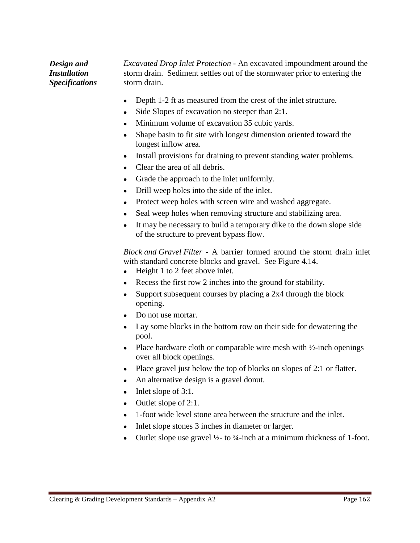| Design and            | <i>Excavated Drop Inlet Protection - An excavated impoundment around the</i> |
|-----------------------|------------------------------------------------------------------------------|
| Installation          | storm drain. Sediment settles out of the stormwater prior to entering the    |
| <b>Specifications</b> | storm drain.                                                                 |

- Depth 1-2 ft as measured from the crest of the inlet structure.
- Side Slopes of excavation no steeper than 2:1.  $\bullet$
- Minimum volume of excavation 35 cubic yards.
- Shape basin to fit site with longest dimension oriented toward the  $\bullet$ longest inflow area.
- Install provisions for draining to prevent standing water problems.
- Clear the area of all debris.
- Grade the approach to the inlet uniformly.
- Drill weep holes into the side of the inlet.
- Protect weep holes with screen wire and washed aggregate.
- Seal weep holes when removing structure and stabilizing area.
- It may be necessary to build a temporary dike to the down slope side of the structure to prevent bypass flow.

*Block and Gravel Filter* - A barrier formed around the storm drain inlet with standard concrete blocks and gravel. See Figure 4.14.

- Height 1 to 2 feet above inlet.
- Recess the first row 2 inches into the ground for stability.
- Support subsequent courses by placing a 2x4 through the block opening.
- $\bullet$ Do not use mortar.
- Lay some blocks in the bottom row on their side for dewatering the pool.
- Place hardware cloth or comparable wire mesh with  $\frac{1}{2}$ -inch openings over all block openings.
- Place gravel just below the top of blocks on slopes of 2:1 or flatter.
- An alternative design is a gravel donut.
- $\bullet$  Inlet slope of 3:1.
- $\bullet$  Outlet slope of 2:1.
- 1-foot wide level stone area between the structure and the inlet.
- Inlet slope stones 3 inches in diameter or larger.
- Outlet slope use gravel  $\frac{1}{2}$  to  $\frac{3}{4}$ -inch at a minimum thickness of 1-foot.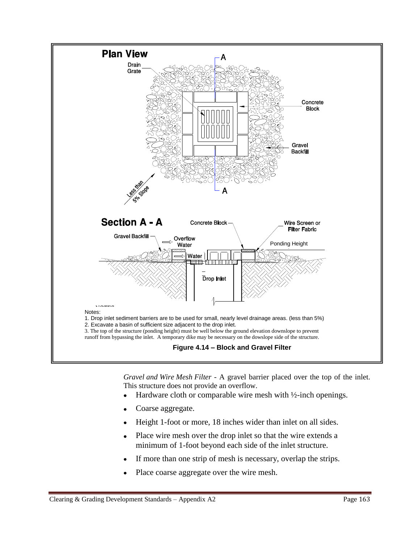

*Gravel and Wire Mesh Filter* - A gravel barrier placed over the top of the inlet. This structure does not provide an overflow.

- Hardware cloth or comparable wire mesh with  $\frac{1}{2}$ -inch openings.
- Coarse aggregate.
- Height 1-foot or more, 18 inches wider than inlet on all sides.
- Place wire mesh over the drop inlet so that the wire extends a minimum of 1-foot beyond each side of the inlet structure.
- If more than one strip of mesh is necessary, overlap the strips.
- Place coarse aggregate over the wire mesh.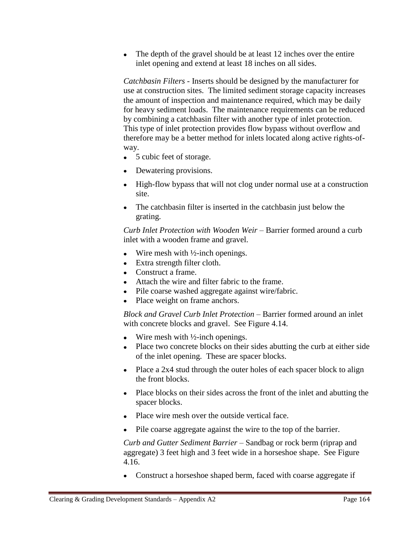• The depth of the gravel should be at least 12 inches over the entire inlet opening and extend at least 18 inches on all sides.

*Catchbasin Filters* - Inserts should be designed by the manufacturer for use at construction sites. The limited sediment storage capacity increases the amount of inspection and maintenance required, which may be daily for heavy sediment loads. The maintenance requirements can be reduced by combining a catchbasin filter with another type of inlet protection. This type of inlet protection provides flow bypass without overflow and therefore may be a better method for inlets located along active rights-ofway.

- 5 cubic feet of storage.
- Dewatering provisions.
- High-flow bypass that will not clog under normal use at a construction site.
- The catchbasin filter is inserted in the catchbasin just below the grating.

*Curb Inlet Protection with Wooden Weir* – Barrier formed around a curb inlet with a wooden frame and gravel.

- Wire mesh with  $\frac{1}{2}$ -inch openings.
- Extra strength filter cloth.
- Construct a frame.
- Attach the wire and filter fabric to the frame.
- Pile coarse washed aggregate against wire/fabric.
- Place weight on frame anchors.

*Block and Gravel Curb Inlet Protection* – Barrier formed around an inlet with concrete blocks and gravel. See Figure 4.14.

- Wire mesh with  $\frac{1}{2}$ -inch openings.
- Place two concrete blocks on their sides abutting the curb at either side of the inlet opening. These are spacer blocks.
- Place a 2x4 stud through the outer holes of each spacer block to align the front blocks.
- Place blocks on their sides across the front of the inlet and abutting the spacer blocks.
- Place wire mesh over the outside vertical face.
- Pile coarse aggregate against the wire to the top of the barrier.

*Curb and Gutter Sediment Barrier* – Sandbag or rock berm (riprap and aggregate) 3 feet high and 3 feet wide in a horseshoe shape. See Figure 4.16.

• Construct a horseshoe shaped berm, faced with coarse aggregate if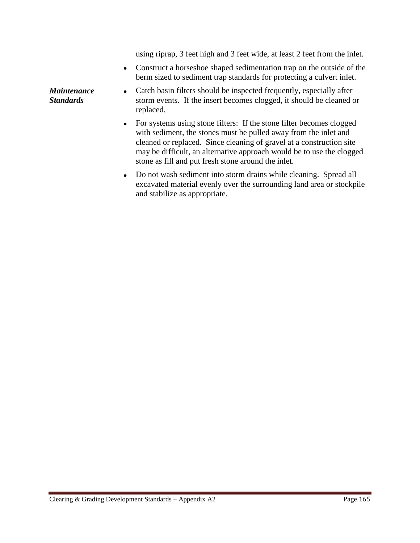using riprap, 3 feet high and 3 feet wide, at least 2 feet from the inlet.

- Construct a horseshoe shaped sedimentation trap on the outside of the berm sized to sediment trap standards for protecting a culvert inlet.
- *Maintenance Standards*
- Catch basin filters should be inspected frequently, especially after storm events. If the insert becomes clogged, it should be cleaned or replaced.
- For systems using stone filters: If the stone filter becomes clogged  $\bullet$ with sediment, the stones must be pulled away from the inlet and cleaned or replaced. Since cleaning of gravel at a construction site may be difficult, an alternative approach would be to use the clogged stone as fill and put fresh stone around the inlet.
- Do not wash sediment into storm drains while cleaning. Spread all excavated material evenly over the surrounding land area or stockpile and stabilize as appropriate.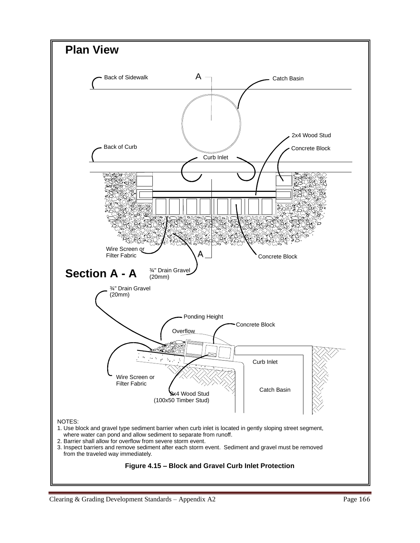